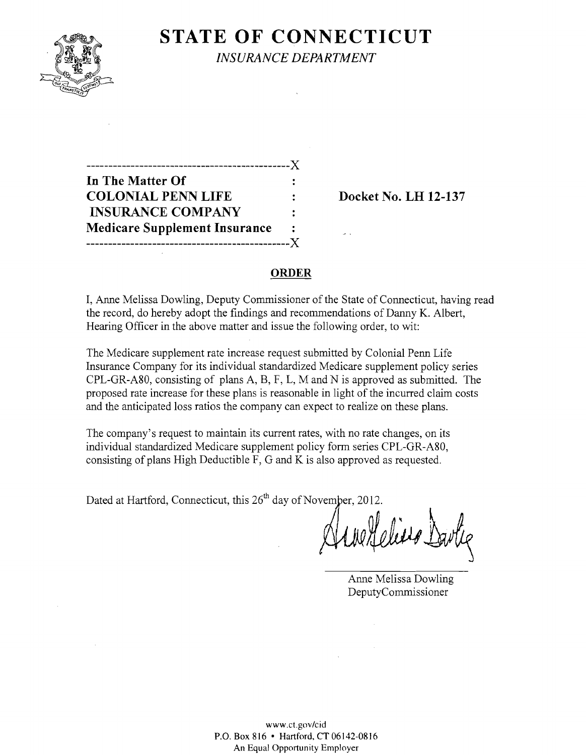

**STATE OF CONNECTICUT** 

*INSURANCE DEPARTMENT* 

----------------------------------------------)( **In The Matter Of COLONIAL PENN LIFE : Docket No. LH 12-137 INSURANCE COMPANY**   $\ddot{\cdot}$ **Medicare Supplement Insurance**  ----------------------------------------------)(

### **ORDER**

I, Anne Melissa Dowling, Deputy Commissioner of the State of Connecticut, having read the record, do hereby adopt the findings and recommendations of Danny K. Albert, Hearing Officer in the above matter and issue the following order, to wit:

The Medicare supplement rate increase request submitted by Colonial Penn Life Insurance Company for its individual standardized Medicare supplement policy series CPL-GR-A80, consisting of plans A, B, F, L, M and N is approved as submitted. The proposed rate increase for these plans is reasonable in light of the incurred claim costs and the anticipated loss ratios the company can expect to realize on these plans.

The company's request to maintain its current rates, with no rate changes, on its individual standardized Medicare supplement policy form series CPL-GR-A80, consisting of plans High Deductible F, G and K is also approved as requested.

Dated at Hartford, Connecticut, this 26<sup>th</sup> day of November, 2012.

Un Heliero Davlie

Anne Melissa Dowling DeputyCommissioner

www.ct.govlcid P.O. Box 816 • Hartford, CT 06142-0816 An Equal Opportunity Employer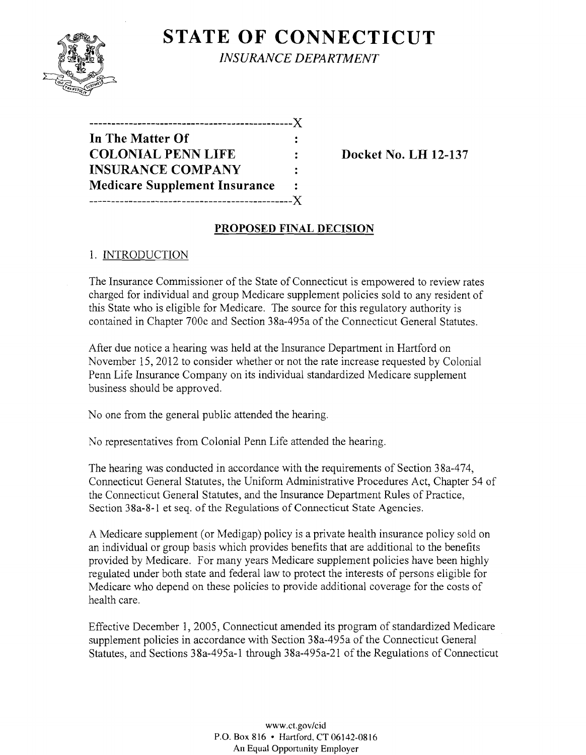

**STATE OF CONNECTICUT** *INSURANCE DEPARTMENT* 

| In The Matter Of                     |                      |
|--------------------------------------|----------------------|
| <b>COLONIAL PENN LIFE</b>            |                      |
| <b>INSURANCE COMPANY</b>             | $\ddot{\phantom{a}}$ |
| <b>Medicare Supplement Insurance</b> | ٠.                   |
|                                      |                      |

**Docket No. LH 12-137** 

### **PROPOSED FINAL DECISION**

### 1. INTRODUCTION

The Insurance Commissioner of the State of Connecticut is empowered to review rates charged for individual and group Medicare supplement policies sold to any resident of this State who is eligible for Medicare. The source for this regulatory authority is contained in Chapter 700c and Section 38a-495a of the Connecticut General Statutes.

After due notice a hearing was held at the Insurance Department in Hartford on November 15,2012 to consider whether or not the rate increase requested by Colonial Penn Life Insurance Company on its individual standardized Medicare supplement business should be approved.

No one from the general public attended the hearing.

No representatives from Colonial Penn Life attended the hearing.

The hearing was conducted in accordance with the requirements of Section 38a-474, Connecticut General Statutes, the Uniform Administrative Procedures Act, Chapter 54 of the Connecticut General Statutes, and the Insurance Department Rules of Practice, Section 38a-8-1 et seq. of the Regulations of Connecticut State Agencies.

A Medicare supplement (or Medigap) policy is a private health insurance policy sold on an individual or group basis which provides benefits that are additional to the benefits provided by Medicare. For many years Medicare supplement policies have been highly regulated under both state and federal law to protect the interests of persons eligible for Medicare who depend on these policies to provide additional coverage for the costs of health care.

Effective December 1, 2005, Connecticut amended its program of standardized Medicare supplement policies in accordance with Section 38a-495a of the Connecticut General Statutes, and Sections 38a-495a-l through 38a-495a-21 of the Regulations of Connecticut

> www.ct.gov/cid P.O. Box 816 • Hartford, CT 06142-0816 An Equal Opportunity Employer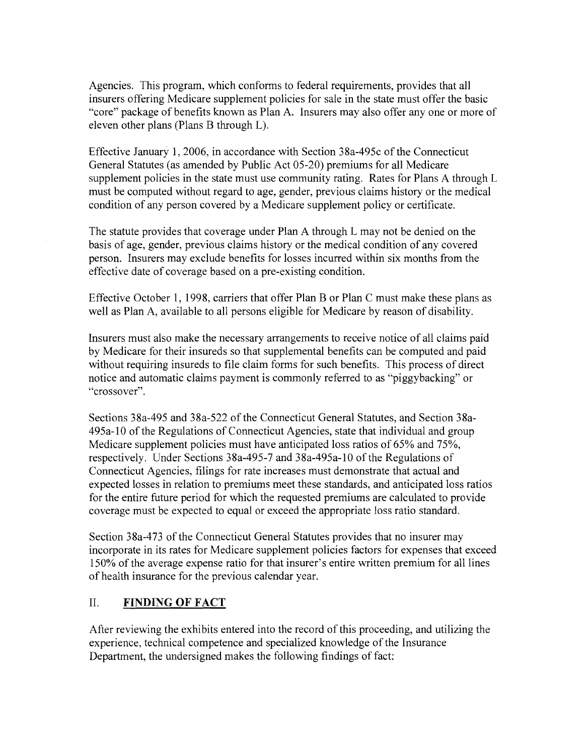Agencies. This program, which conforms to federal requirements, provides that all insurers offering Medicare supplement policies for sale in the state must offer the basic "core" package of benefits known as Plan A. Insurers may also offer anyone or more of eleven other plans (Plans B through L).

Effective January 1, 2006, in accordance with Section 38a-495c ofthe Connecticut General Statutes (as amended by Public Act 05-20) premiums for all Medicare supplement policies in the state must use community rating. Rates for Plans A through L must be computed without regard to age, gender, previous claims history or the medical condition of any person covered by a Medicare supplement policy or certificate.

The statute provides that coverage under Plan A through L may not be denied on the basis of age, gender, previous claims history or the medical condition of any covered person. Insurers may exclude benefits for losses incurred within six months from the effective date of coverage based on a pre-existing condition.

Effective October 1, 1998, carriers that offer Plan B or Plan C must make these plans as well as Plan A, available to all persons eligible for Medicare by reason of disability.

Insurers must also make the necessary arrangements to receive notice of all claims paid by Medicare for their insureds so that supplemental benefits can be computed and paid without requiring insureds to file claim forms for such benefits. This process of direct notice and automatic claims payment is commonly referred to as "piggybacking" or "crossover".

Sections 38a-495 and 38a-522 of the Connecticut General Statutes, and Section 38a-495a-l0 of the Regulations of Connecticut Agencies, state that individual and group Medicare supplement policies must have anticipated loss ratios of 65% and 75%, respectively. Under Sections 38a-495-7 and 38a-495a-1O of the Regulations of Connecticut Agencies, filings for rate increases must demonstrate that actual and expected losses in relation to premiums meet these standards, and anticipated loss ratios for the entire future period for which the requested premiums are calculated to provide coverage must be expected to equal or exceed the appropriate loss ratio standard.

Section 38a-473 of the Connecticut General Statutes provides that no insurer may incorporate in its rates for Medicare supplement policies factors for expenses that exceed 150% of the average expense ratio for that insurer's entire written premium for all lines of health insurance for the previous calendar year.

# II. **FINDING OF FACT**

After reviewing the exhibits entered into the record of this proceeding, and utilizing the experience, technical competence and specialized knowledge of the Insurance Department, the undersigned makes the following findings of fact: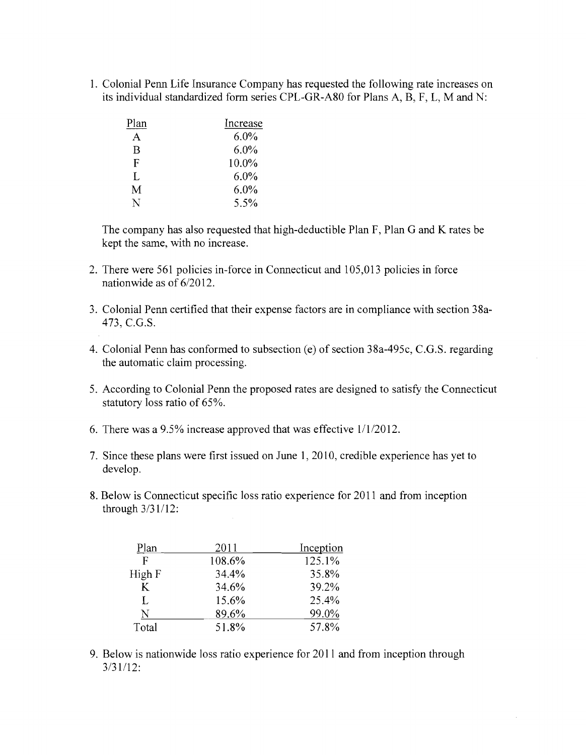1. Colonial Penn Life Insurance Company has requested the following rate increases on its individual standardized form series CPL-GR-A80 for Plans A, B, F, L, M and N:

| Plan | Increase |
|------|----------|
| A    | 6.0%     |
| B    | 6.0%     |
| F    | 10.0%    |
| Ī.   | $6.0\%$  |
| M    | 6.0%     |
| N    | 5.5%     |

The company has also requested that high-deductible Plan F, Plan G and K rates be kept the same, with no increase.

- 2. There were 561 policies in-force in Connecticut and 105,013 policies in force nationwide as of  $6/2012$ .
- 3. Colonial Penn certified that their expense factors are in compliance with section 38a-473, e.G.S.
- 4. Colonial Penn has conformed to subsection (e) of section 38a-495c, C.G.S. regarding the automatic claim processing.
- 5. According to Colonial Penn the proposed rates are designed to satisfy the Connecticut statutory loss ratio of 65%.
- 6. There was a 9.5% increase approved that was effective  $1/1/2012$ .
- 7. Since these plans were first issued on June 1, 2010, credible experience has yet to develop.
- 8. Below is Connecticut specific loss ratio experience for 2011 and from inception through 3/31/12:

| Plan   | 2011   | Inception |
|--------|--------|-----------|
| F      | 108.6% | 125.1%    |
| High F | 34.4%  | 35.8%     |
| K      | 34.6%  | 39.2%     |
| L      | 15.6%  | 25.4%     |
| N      | 89.6%  | 99.0%     |
| Total  | 51.8%  | 57.8%     |

9. Below is nationwide loss ratio experience for **2011** and from inception through 3/31/12: